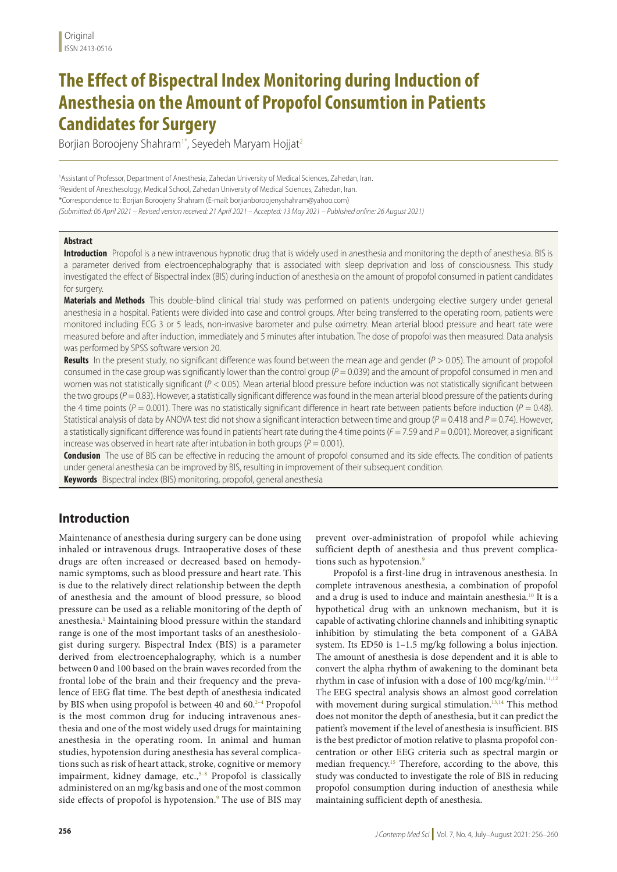# **The Effect of Bispectral Index Monitoring during Induction of Anesthesia on the Amount of Propofol Consumtion in Patients Candidates for Surgery**

Borjian Boroojeny Shahram<sup>1\*</sup>, Seyedeh Maryam Hojjat<sup>2</sup>

1 Assistant of Professor, Department of Anesthesia, Zahedan University of Medical Sciences, Zahedan, Iran. 2 Resident of Anesthesology, Medical School, Zahedan University of Medical Sciences, Zahedan, Iran. \*Correspondence to: Borjian Boroojeny Shahram (E-mail: borjianboroojenyshahram@yahoo.com) *(Submitted: 06 April 2021 – Revised version received: 21 April 2021 – Accepted: 13 May 2021 – Published online: 26 August 2021)*

#### **Abstract**

**Introduction** Propofol is a new intravenous hypnotic drug that is widely used in anesthesia and monitoring the depth of anesthesia. BIS is a parameter derived from electroencephalography that is associated with sleep deprivation and loss of consciousness. This study investigated the effect of Bispectral index (BIS) during induction of anesthesia on the amount of propofol consumed in patient candidates for surgery.

**Materials and Methods** This double-blind clinical trial study was performed on patients undergoing elective surgery under general anesthesia in a hospital. Patients were divided into case and control groups. After being transferred to the operating room, patients were monitored including ECG 3 or 5 leads, non-invasive barometer and pulse oximetry. Mean arterial blood pressure and heart rate were measured before and after induction, immediately and 5 minutes after intubation. The dose of propofol was then measured. Data analysis was performed by SPSS software version 20.

**Results** In the present study, no significant difference was found between the mean age and gender (*P* > 0.05). The amount of propofol consumed in the case group was significantly lower than the control group ( $P = 0.039$ ) and the amount of propofol consumed in men and women was not statistically significant (*P* < 0.05). Mean arterial blood pressure before induction was not statistically significant between the two groups ( $P = 0.83$ ). However, a statistically significant difference was found in the mean arterial blood pressure of the patients during the 4 time points ( $P = 0.001$ ). There was no statistically significant difference in heart rate between patients before induction ( $P = 0.48$ ). Statistical analysis of data by ANOVA test did not show a significant interaction between time and group ( $P = 0.418$  and  $P = 0.74$ ). However, a statistically significant difference was found in patients' heart rate during the 4 time points (*F* = 7.59 and *P* = 0.001). Moreover, a significant increase was observed in heart rate after intubation in both groups ( $P = 0.001$ ).

**Conclusion** The use of BIS can be effective in reducing the amount of propofol consumed and its side effects. The condition of patients under general anesthesia can be improved by BIS, resulting in improvement of their subsequent condition.

**Keywords** Bispectral index (BIS) monitoring, propofol, general anesthesia

## **Introduction**

Maintenance of anesthesia during surgery can be done using inhaled or intravenous drugs. Intraoperative doses of these drugs are often increased or decreased based on hemodynamic symptoms, such as blood pressure and heart rate. This is due to the relatively direct relationship between the depth of anesthesia and the amount of blood pressure, so blood pressure can be used as a reliable monitoring of the depth of anesthesia.<sup>1</sup> Maintaining blood pressure within the standard range is one of the most important tasks of an anesthesiologist during surgery. Bispectral Index (BIS) is a parameter derived from electroencephalography, which is a number between 0 and 100 based on the brain waves recorded from the frontal lobe of the brain and their frequency and the prevalence of EEG flat time. The best depth of anesthesia indicated by BIS when using propofol is between 40 and  $60.^{2-4}$  Propofol is the most common drug for inducing intravenous anesthesia and one of the most widely used drugs for maintaining anesthesia in the operating room. In animal and human studies, hypotension during anesthesia has several complications such as risk of heart attack, stroke, cognitive or memory impairment, kidney damage, etc.,<sup>5-8</sup> Propofol is classically administered on an mg/kg basis and one of the most common side effects of propofol is hypotension.<sup>9</sup> The use of BIS may

prevent over-administration of propofol while achieving sufficient depth of anesthesia and thus prevent complications such as hypotension.<sup>9</sup>

Propofol is a first-line drug in intravenous anesthesia. In complete intravenous anesthesia, a combination of propofol and a drug is used to induce and maintain anesthesia.10 It is a hypothetical drug with an unknown mechanism, but it is capable of activating chlorine channels and inhibiting synaptic inhibition by stimulating the beta component of a GABA system. Its ED50 is 1–1.5 mg/kg following a bolus injection. The amount of anesthesia is dose dependent and it is able to convert the alpha rhythm of awakening to the dominant beta rhythm in case of infusion with a dose of 100 mcg/kg/min.<sup>11,12</sup> The EEG spectral analysis shows an almost good correlation with movement during surgical stimulation.<sup>13,14</sup> This method does not monitor the depth of anesthesia, but it can predict the patient's movement if the level of anesthesia is insufficient. BIS is the best predictor of motion relative to plasma propofol concentration or other EEG criteria such as spectral margin or median frequency.<sup>15</sup> Therefore, according to the above, this study was conducted to investigate the role of BIS in reducing propofol consumption during induction of anesthesia while maintaining sufficient depth of anesthesia.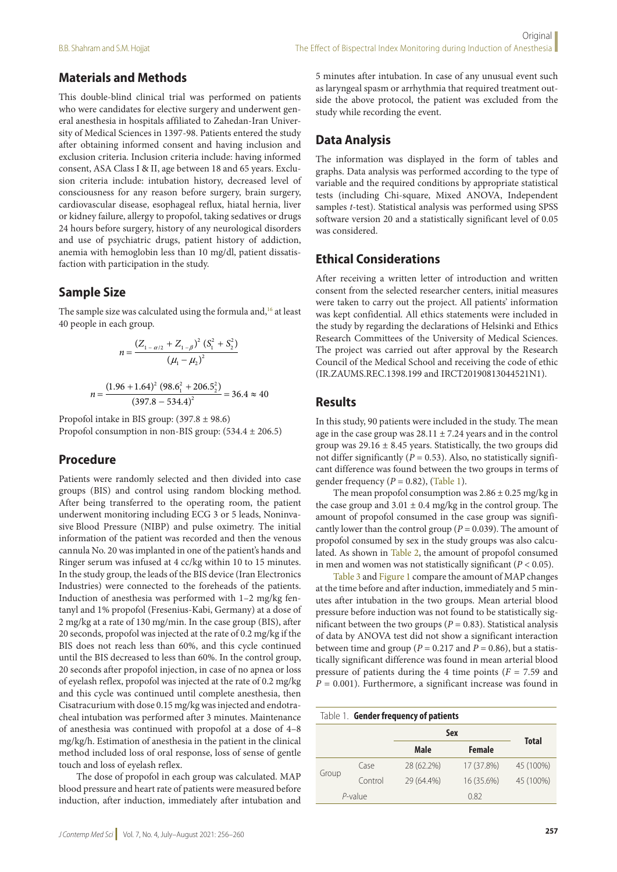## **Materials and Methods**

This double-blind clinical trial was performed on patients who were candidates for elective surgery and underwent general anesthesia in hospitals affiliated to Zahedan-Iran University of Medical Sciences in 1397-98. Patients entered the study after obtaining informed consent and having inclusion and exclusion criteria. Inclusion criteria include: having informed consent, ASA Class I & II, age between 18 and 65 years. Exclusion criteria include: intubation history, decreased level of consciousness for any reason before surgery, brain surgery, cardiovascular disease, esophageal reflux, hiatal hernia, liver or kidney failure, allergy to propofol, taking sedatives or drugs 24 hours before surgery, history of any neurological disorders and use of psychiatric drugs, patient history of addiction, anemia with hemoglobin less than 10 mg/dl, patient dissatisfaction with participation in the study.

#### **Sample Size**

The sample size was calculated using the formula and,<sup>16</sup> at least 40 people in each group.

$$
n = \frac{(Z_{1-\alpha/2} + Z_{1-\beta})^2 (S_1^2 + S_2^2)}{(\mu_1 - \mu_2)^2}
$$

$$
n = \frac{(1.96 + 1.64)^2 (98.6_1^2 + 206.5_2^2)}{(397.8 - 534.4)^2} = 36.4 \approx 40
$$

Propofol intake in BIS group: (397.8 ± 98.6) Propofol consumption in non-BIS group: (534.4 ± 206.5)

#### **Procedure**

Patients were randomly selected and then divided into case groups (BIS) and control using random blocking method. After being transferred to the operating room, the patient underwent monitoring including ECG 3 or 5 leads, Noninvasive Blood Pressure (NIBP) and pulse oximetry. The initial information of the patient was recorded and then the venous cannula No. 20 was implanted in one of the patient's hands and Ringer serum was infused at 4 cc/kg within 10 to 15 minutes. In the study group, the leads of the BIS device (Iran Electronics Industries) were connected to the foreheads of the patients. Induction of anesthesia was performed with 1–2 mg/kg fentanyl and 1% propofol (Fresenius-Kabi, Germany) at a dose of 2 mg/kg at a rate of 130 mg/min. In the case group (BIS), after 20 seconds, propofol was injected at the rate of 0.2 mg/kg if the BIS does not reach less than 60%, and this cycle continued until the BIS decreased to less than 60%. In the control group, 20 seconds after propofol injection, in case of no apnea or loss of eyelash reflex, propofol was injected at the rate of 0.2 mg/kg and this cycle was continued until complete anesthesia, then Cisatracurium with dose 0.15 mg/kg was injected and endotracheal intubation was performed after 3 minutes. Maintenance of anesthesia was continued with propofol at a dose of 4–8 mg/kg/h. Estimation of anesthesia in the patient in the clinical method included loss of oral response, loss of sense of gentle touch and loss of eyelash reflex.

The dose of propofol in each group was calculated. MAP blood pressure and heart rate of patients were measured before induction, after induction, immediately after intubation and 5 minutes after intubation. In case of any unusual event such as laryngeal spasm or arrhythmia that required treatment outside the above protocol, the patient was excluded from the study while recording the event.

## **Data Analysis**

The information was displayed in the form of tables and graphs. Data analysis was performed according to the type of variable and the required conditions by appropriate statistical tests (including Chi-square, Mixed ANOVA, Independent samples *t*-test). Statistical analysis was performed using SPSS software version 20 and a statistically significant level of 0.05 was considered.

## **Ethical Considerations**

After receiving a written letter of introduction and written consent from the selected researcher centers, initial measures were taken to carry out the project. All patients' information was kept confidential. All ethics statements were included in the study by regarding the declarations of Helsinki and Ethics Research Committees of the University of Medical Sciences. The project was carried out after approval by the Research Council of the Medical School and receiving the code of ethic (IR.ZAUMS.REC.1398.199 and IRCT20190813044521N1).

## **Results**

In this study, 90 patients were included in the study. The mean age in the case group was  $28.11 \pm 7.24$  years and in the control group was  $29.16 \pm 8.45$  years. Statistically, the two groups did not differ significantly ( $P = 0.53$ ). Also, no statistically significant difference was found between the two groups in terms of gender frequency (*P* = 0.82), (Table 1).

The mean propofol consumption was  $2.86 \pm 0.25$  mg/kg in the case group and  $3.01 \pm 0.4$  mg/kg in the control group. The amount of propofol consumed in the case group was significantly lower than the control group ( $P = 0.039$ ). The amount of propofol consumed by sex in the study groups was also calculated. As shown in Table 2, the amount of propofol consumed in men and women was not statistically significant (*P* < 0.05).

Table 3 and Figure 1 compare the amount of MAP changes at the time before and after induction, immediately and 5 minutes after intubation in the two groups. Mean arterial blood pressure before induction was not found to be statistically significant between the two groups ( $P = 0.83$ ). Statistical analysis of data by ANOVA test did not show a significant interaction between time and group ( $P = 0.217$  and  $P = 0.86$ ), but a statistically significant difference was found in mean arterial blood pressure of patients during the 4 time points  $(F = 7.59$  and *P* = 0.001). Furthermore, a significant increase was found in

|  | Table 1. Gender frequency of patients |  |
|--|---------------------------------------|--|
|--|---------------------------------------|--|

|       |            | Sex        |               |              |
|-------|------------|------------|---------------|--------------|
|       |            | Male       | <b>Female</b> | <b>Total</b> |
|       | Case       | 28 (62.2%) | 17 (37.8%)    | 45 (100%)    |
| Group | Control    | 29 (64.4%) | 16 (35.6%)    | 45 (100%)    |
|       | $P$ -value |            | 0.82          |              |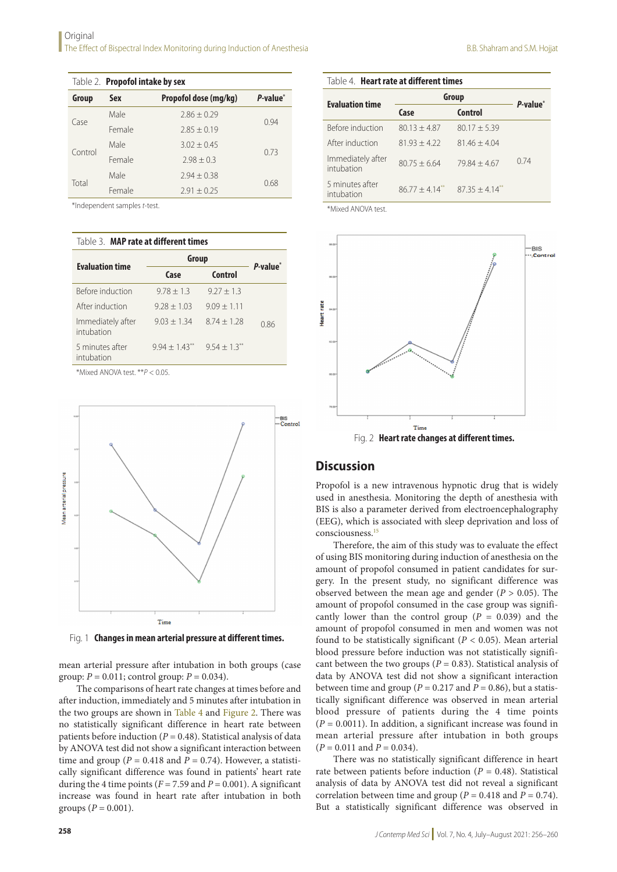|         | Table 2. <b>Propofol intake by sex</b> |                       |                      |  |
|---------|----------------------------------------|-----------------------|----------------------|--|
| Group   | Sex                                    | Propofol dose (mg/kg) | P-value <sup>*</sup> |  |
| Case    | Male                                   | $7.86 + 0.29$         | 0.94                 |  |
|         | Female                                 | $7.85 + 0.19$         |                      |  |
| Control | Male                                   | $302 + 045$           | 0.73                 |  |
|         | Female                                 | $7.98 + 0.3$          |                      |  |
| Total   | Male                                   | $7.94 + 0.38$         | 0.68                 |  |
|         | Female                                 | $291 + 0.25$          |                      |  |

\*Independent samples *t*-test.

| Table 3. MAP rate at different times |               |                            |                      |
|--------------------------------------|---------------|----------------------------|----------------------|
|                                      | Group         |                            |                      |
| <b>Evaluation time</b>               | Case          | Control                    | P-value <sup>*</sup> |
| Before induction                     | $9.78 + 1.3$  | $9.27 + 1.3$               |                      |
| After induction                      | $928 + 103$   | $909 + 111$                |                      |
| Immediately after<br>intubation      | $9.03 + 1.34$ | $8.74 + 1.28$              | 0.86                 |
| 5 minutes after<br>intubation        | $994 + 143**$ | $9.54 + 1.3$ <sup>**</sup> |                      |

\*Mixed ANOVA test. \*\**P* < 0.05.



Fig. 1 **Changes in mean arterial pressure at different times.**

mean arterial pressure after intubation in both groups (case group:  $P = 0.011$ ; control group:  $P = 0.034$ ).

The comparisons of heart rate changes at times before and after induction, immediately and 5 minutes after intubation in the two groups are shown in Table 4 and Figure 2. There was no statistically significant difference in heart rate between patients before induction ( $P = 0.48$ ). Statistical analysis of data by ANOVA test did not show a significant interaction between time and group ( $P = 0.418$  and  $P = 0.74$ ). However, a statistically significant difference was found in patients' heart rate during the 4 time points ( $F = 7.59$  and  $P = 0.001$ ). A significant increase was found in heart rate after intubation in both groups  $(P = 0.001)$ .

| Table 4. Heart rate at different times |                              |                      |  |
|----------------------------------------|------------------------------|----------------------|--|
| Group                                  |                              | P-value <sup>*</sup> |  |
| Case                                   | Control                      |                      |  |
| $8013 + 487$                           | $80.17 + 5.39$               |                      |  |
| $8193 + 422$                           | $81.46 + 4.04$               |                      |  |
| $8075 + 664$                           | $79.84 + 4.67$               | 074                  |  |
| $86.77 + 4.14$ <sup>**</sup>           | $87.35 + 4.14$ <sup>**</sup> |                      |  |
|                                        |                              |                      |  |

\*Mixed ANOVA test.



#### **Discussion**

Propofol is a new intravenous hypnotic drug that is widely used in anesthesia. Monitoring the depth of anesthesia with BIS is also a parameter derived from electroencephalography (EEG), which is associated with sleep deprivation and loss of consciousness.15

Therefore, the aim of this study was to evaluate the effect of using BIS monitoring during induction of anesthesia on the amount of propofol consumed in patient candidates for surgery. In the present study, no significant difference was observed between the mean age and gender (*P* > 0.05). The amount of propofol consumed in the case group was significantly lower than the control group  $(P = 0.039)$  and the amount of propofol consumed in men and women was not found to be statistically significant ( $P < 0.05$ ). Mean arterial blood pressure before induction was not statistically significant between the two groups ( $P = 0.83$ ). Statistical analysis of data by ANOVA test did not show a significant interaction between time and group ( $P = 0.217$  and  $P = 0.86$ ), but a statistically significant difference was observed in mean arterial blood pressure of patients during the 4 time points  $(P = 0.0011)$ . In addition, a significant increase was found in mean arterial pressure after intubation in both groups  $(P = 0.011$  and  $P = 0.034$ ).

There was no statistically significant difference in heart rate between patients before induction  $(P = 0.48)$ . Statistical analysis of data by ANOVA test did not reveal a significant correlation between time and group ( $P = 0.418$  and  $P = 0.74$ ). But a statistically significant difference was observed in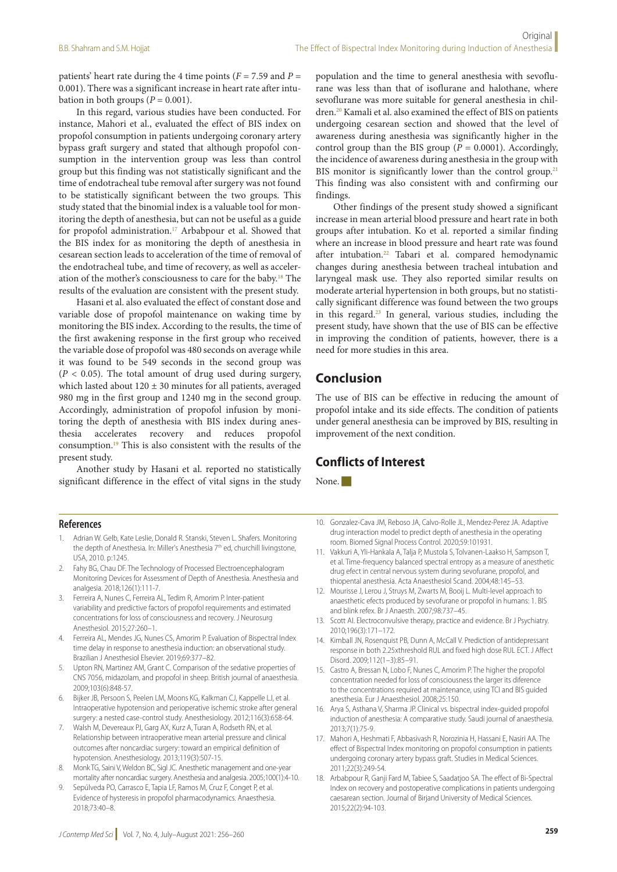patients' heart rate during the 4 time points ( $F = 7.59$  and  $P =$ 0.001). There was a significant increase in heart rate after intubation in both groups  $(P = 0.001)$ .

In this regard, various studies have been conducted. For instance, Mahori et al., evaluated the effect of BIS index on propofol consumption in patients undergoing coronary artery bypass graft surgery and stated that although propofol consumption in the intervention group was less than control group but this finding was not statistically significant and the time of endotracheal tube removal after surgery was not found to be statistically significant between the two groups. This study stated that the binomial index is a valuable tool for monitoring the depth of anesthesia, but can not be useful as a guide for propofol administration.17 Arbabpour et al. Showed that the BIS index for as monitoring the depth of anesthesia in cesarean section leads to acceleration of the time of removal of the endotracheal tube, and time of recovery, as well as acceleration of the mother's consciousness to care for the baby.18 The results of the evaluation are consistent with the present study.

Hasani et al. also evaluated the effect of constant dose and variable dose of propofol maintenance on waking time by monitoring the BIS index. According to the results, the time of the first awakening response in the first group who received the variable dose of propofol was 480 seconds on average while it was found to be 549 seconds in the second group was (*P* < 0.05). The total amount of drug used during surgery, which lasted about  $120 \pm 30$  minutes for all patients, averaged 980 mg in the first group and 1240 mg in the second group. Accordingly, administration of propofol infusion by monitoring the depth of anesthesia with BIS index during anesthesia accelerates recovery and reduces propofol consumption.19 This is also consistent with the results of the present study.

Another study by Hasani et al. reported no statistically significant difference in the effect of vital signs in the study

#### **References**

- 1. Adrian W. Gelb, Kate Leslie, Donald R. Stanski, Steven L. Shafers. Monitoring the depth of Anesthesia. In: Miller's Anesthesia 7<sup>th</sup> ed, churchill livingstone, USA, 2010. p:1245.
- Fahy BG, Chau DF. The Technology of Processed Electroencephalogram Monitoring Devices for Assessment of Depth of Anesthesia. Anesthesia and analgesia. 2018;126(1):111-7.
- 3. Ferreira A, Nunes C, Ferreira AL, Tedim R, Amorim P. Inter-patient variability and predictive factors of propofol requirements and estimated concentrations for loss of consciousness and recovery. J Neurosurg Anesthesiol. 2015;27:260–1.
- 4. Ferreira AL, Mendes JG, Nunes CS, Amorim P. Evaluation of Bispectral Index time delay in response to anesthesia induction: an observational study. Brazilian J Anesthesiol Elsevier. 2019;69:377–82.
- Upton RN, Martinez AM, Grant C. Comparison of the sedative properties of CNS 7056, midazolam, and propofol in sheep. British journal of anaesthesia. 2009;103(6):848-57.
- 6. Bijker JB, Persoon S, Peelen LM, Moons KG, Kalkman CJ, Kappelle LJ, et al. Intraoperative hypotension and perioperative ischemic stroke after general surgery: a nested case-control study. Anesthesiology. 2012;116(3):658-64.
- 7. Walsh M, Devereaux PJ, Garg AX, Kurz A, Turan A, Rodseth RN, et al. Relationship between intraoperative mean arterial pressure and clinical outcomes after noncardiac surgery: toward an empirical definition of hypotension. Anesthesiology. 2013;119(3):507-15.
- 8. Monk TG, Saini V, Weldon BC, Sigl JC. Anesthetic management and one-year mortality after noncardiac surgery. Anesthesia and analgesia. 2005;100(1):4-10.
- Sepúlveda PO, Carrasco E, Tapia LF, Ramos M, Cruz F, Conget P, et al. Evidence of hysteresis in propofol pharmacodynamics. Anaesthesia. 2018;73:40–8.

population and the time to general anesthesia with sevoflurane was less than that of isoflurane and halothane, where sevoflurane was more suitable for general anesthesia in children.<sup>20</sup> Kamali et al. also examined the effect of BIS on patients undergoing cesarean section and showed that the level of awareness during anesthesia was significantly higher in the control group than the BIS group  $(P = 0.0001)$ . Accordingly, the incidence of awareness during anesthesia in the group with BIS monitor is significantly lower than the control group.<sup>21</sup> This finding was also consistent with and confirming our findings.

Other findings of the present study showed a significant increase in mean arterial blood pressure and heart rate in both groups after intubation. Ko et al. reported a similar finding where an increase in blood pressure and heart rate was found after intubation.<sup>22</sup> Tabari et al. compared hemodynamic changes during anesthesia between tracheal intubation and laryngeal mask use. They also reported similar results on moderate arterial hypertension in both groups, but no statistically significant difference was found between the two groups in this regard.23 In general, various studies, including the present study, have shown that the use of BIS can be effective in improving the condition of patients, however, there is a need for more studies in this area.

### **Conclusion**

The use of BIS can be effective in reducing the amount of propofol intake and its side effects. The condition of patients under general anesthesia can be improved by BIS, resulting in improvement of the next condition.

#### **Conflicts of Interest**

None.<sup>1</sup>

- 10. Gonzalez-Cava JM, Reboso JA, Calvo-Rolle JL, Mendez-Perez JA. Adaptive drug interaction model to predict depth of anesthesia in the operating room. Biomed Signal Process Control. 2020;59:101931.
- 11. Vakkuri A, Yli-Hankala A, Talja P, Mustola S, Tolvanen-Laakso H, Sampson T, et al. Time-frequency balanced spectral entropy as a measure of anesthetic drug efect in central nervous system during sevofurane, propofol, and thiopental anesthesia. Acta Anaesthesiol Scand. 2004;48:145–53.
- 12. Mourisse J, Lerou J, Struys M, Zwarts M, Booij L. Multi-level approach to anaesthetic efects produced by sevofurane or propofol in humans: 1. BIS and blink refex. Br J Anaesth. 2007;98:737–45.
- 13. Scott AI. Electroconvulsive therapy, practice and evidence. Br J Psychiatry. 2010;196(3):171–172.
- 14. Kimball JN, Rosenquist PB, Dunn A, McCall V. Prediction of antidepressant response in both 2.25xthreshold RUL and fixed high dose RUL ECT. J Affect Disord. 2009;112(1–3):85–91.
- 15. Castro A, Bressan N, Lobo F, Nunes C, Amorim P. The higher the propofol concentration needed for loss of consciousness the larger its diference to the concentrations required at maintenance, using TCI and BIS guided anesthesia. Eur J Anaesthesiol. 2008;25:150.
- 16. Arya S, Asthana V, Sharma JP. Clinical vs. bispectral index-guided propofol induction of anesthesia: A comparative study. Saudi journal of anaesthesia. 2013;7(1):75-9.
- 17. Mahori A, Heshmati F, Abbasivash R, Norozinia H, Hassani E, Nasiri AA. The effect of Bispectral Index monitoring on propofol consumption in patients undergoing coronary artery bypass graft. Studies in Medical Sciences. 2011;22(3):249-54.
- 18. Arbabpour R, Ganji Fard M, Tabiee S, Saadatjoo SA. The effect of Bi-Spectral Index on recovery and postoperative complications in patients undergoing caesarean section. Journal of Birjand University of Medical Sciences. 2015;22(2):94-103.